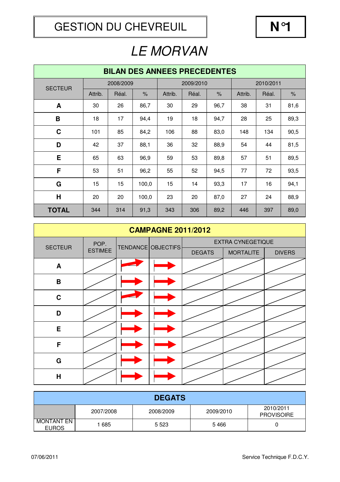| <b>BILAN DES ANNEES PRECEDENTES</b> |         |           |       |         |           |      |         |           |      |  |
|-------------------------------------|---------|-----------|-------|---------|-----------|------|---------|-----------|------|--|
| <b>SECTEUR</b>                      |         | 2008/2009 |       |         | 2009/2010 |      |         | 2010/2011 |      |  |
|                                     | Attrib. | Réal.     | $\%$  | Attrib. | Réal.     | $\%$ | Attrib. | Réal.     | $\%$ |  |
| A                                   | 30      | 26        | 86,7  | 30      | 29        | 96,7 | 38      | 31        | 81,6 |  |
| B                                   | 18      | 17        | 94,4  | 19      | 18        | 94,7 | 28      | 25        | 89,3 |  |
| C                                   | 101     | 85        | 84,2  | 106     | 88        | 83,0 | 148     | 134       | 90,5 |  |
| D                                   | 42      | 37        | 88,1  | 36      | 32        | 88,9 | 54      | 44        | 81,5 |  |
| E                                   | 65      | 63        | 96,9  | 59      | 53        | 89,8 | 57      | 51        | 89,5 |  |
| F                                   | 53      | 51        | 96,2  | 55      | 52        | 94,5 | 77      | 72        | 93,5 |  |
| G                                   | 15      | 15        | 100,0 | 15      | 14        | 93,3 | 17      | 16        | 94,1 |  |
| H                                   | 20      | 20        | 100,0 | 23      | 20        | 87,0 | 27      | 24        | 88,9 |  |
| <b>TOTAL</b>                        | 344     | 314       | 91,3  | 343     | 306       | 89,2 | 446     | 397       | 89,0 |  |

| <b>CAMPAGNE 2011/2012</b> |                |  |                    |                                   |  |               |  |  |
|---------------------------|----------------|--|--------------------|-----------------------------------|--|---------------|--|--|
| <b>SECTEUR</b>            | POP.           |  | TENDANCE OBJECTIFS | <b>EXTRA CYNEGETIQUE</b>          |  |               |  |  |
|                           | <b>ESTIMEE</b> |  |                    | <b>MORTALITE</b><br><b>DEGATS</b> |  | <b>DIVERS</b> |  |  |
| A                         |                |  |                    |                                   |  |               |  |  |
| B                         |                |  |                    |                                   |  |               |  |  |
| $\mathbf C$               |                |  |                    |                                   |  |               |  |  |
| D                         |                |  |                    |                                   |  |               |  |  |
| E.                        |                |  |                    |                                   |  |               |  |  |
| F                         |                |  |                    |                                   |  |               |  |  |
| $\mathbf G$               |                |  |                    |                                   |  |               |  |  |
| $\mathsf{H}$              |                |  |                    |                                   |  |               |  |  |

| <b>DEGATS</b>                     |           |           |           |                                |  |  |  |  |
|-----------------------------------|-----------|-----------|-----------|--------------------------------|--|--|--|--|
|                                   | 2007/2008 | 2008/2009 | 2009/2010 | 2010/2011<br><b>PROVISOIRE</b> |  |  |  |  |
| <b>MONTANT EN</b><br><b>EUROS</b> | ∣685      | 5 5 2 3   | 5466      |                                |  |  |  |  |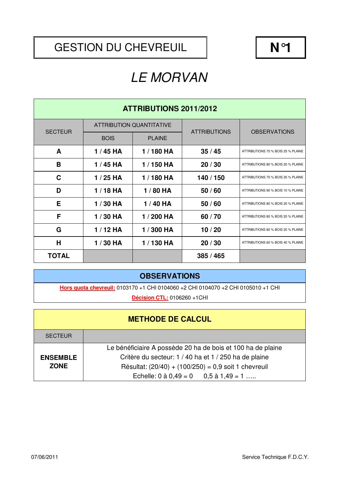#### GESTION DU CHEVREUIL  $\parallel$  **N**°1

# LE MORVAN

| <b>ATTRIBUTIONS 2011/2012</b> |             |                                 |                     |                                    |  |  |  |
|-------------------------------|-------------|---------------------------------|---------------------|------------------------------------|--|--|--|
| <b>SECTEUR</b>                |             | <b>ATTRIBUTION QUANTITATIVE</b> | <b>ATTRIBUTIONS</b> |                                    |  |  |  |
|                               | <b>BOIS</b> | <b>PLAINE</b>                   |                     | <b>OBSERVATIONS</b>                |  |  |  |
| A                             | $1/45$ HA   | 1/180 HA                        | 35/45               | ATTRIBUTIONS 75 % BOIS 25 % PLAINE |  |  |  |
| B                             | $1/45$ HA   | 1/150 HA                        | 20/30               | ATTRIBUTIONS 80 % BOIS 20 % PLAINE |  |  |  |
| C                             | $1/25$ HA   | 1/180 HA                        | 140 / 150           | ATTRIBUTIONS 75 % BOIS 25 % PLAINE |  |  |  |
| D                             | $1/18$ HA   | 1/80 HA                         | 50/60               | ATTRIBUTIONS 90 % BOIS 10 % PLAINE |  |  |  |
| Е                             | 1/30 HA     | 1/40 HA                         | 50/60               | ATTRIBUTIONS 80 % BOIS 20 % PLAINE |  |  |  |
| F                             | 1/30 HA     | 1/200 HA                        | 60/70               | ATTRIBUTIONS 80 % BOIS 20 % PLAINE |  |  |  |
| G                             | $1/12$ HA   | 1/300 HA                        | 10/20               | ATTRIBUTIONS 80 % BOIS 20 % PLAINE |  |  |  |
| H                             | $1/30$ HA   | 1/130 HA                        | 20/30               | ATTRIBUTIONS 60 % BOIS 40 % PLAINE |  |  |  |
| <b>TOTAL</b>                  |             |                                 | 385/465             |                                    |  |  |  |

#### **OBSERVATIONS**

**Hors quota chevreuil:** 0103170 +1 CHI 0104060 +2 CHI 0104070 +2 CHI 0105010 +1 CHI

**Décision CTL:** 0106260 +1CHI

|                 | <b>METHODE DE CALCUL</b>                                    |
|-----------------|-------------------------------------------------------------|
| <b>SECTEUR</b>  |                                                             |
|                 | Le bénéficiaire A possède 20 ha de bois et 100 ha de plaine |
| <b>ENSEMBLE</b> | Critère du secteur: 1 / 40 ha et 1 / 250 ha de plaine       |
| <b>ZONE</b>     | Résultat: $(20/40) + (100/250) = 0.9$ soit 1 chevreuil      |
|                 | Echelle: $0$ à $0,49 = 0$ $0,5$ à $1,49 = 1$                |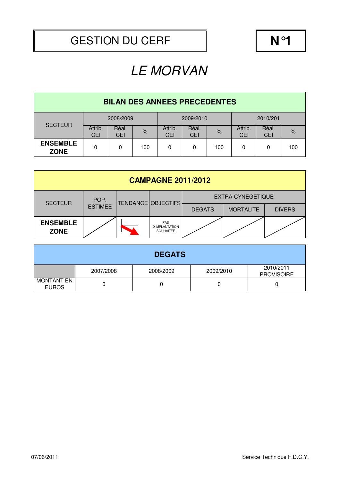| <b>BILAN DES ANNEES PRECEDENTES</b> |                       |                     |               |                       |                     |      |                       |              |               |
|-------------------------------------|-----------------------|---------------------|---------------|-----------------------|---------------------|------|-----------------------|--------------|---------------|
| <b>SECTEUR</b>                      | 2008/2009             |                     |               | 2009/2010             |                     |      | 2010/201              |              |               |
|                                     | Attrib.<br><b>CEI</b> | Réal.<br><b>CEI</b> | $\frac{9}{6}$ | Attrib.<br><b>CEI</b> | Réal.<br><b>CEI</b> | $\%$ | Attrib.<br><b>CEI</b> | Réal.<br>CEI | $\frac{1}{2}$ |
| <b>ENSEMBLE</b><br><b>ZONE</b>      | 0                     | 0                   | 100           | 0                     | 0                   | 100  | 0                     | 0            | 100           |

| <b>CAMPAGNE 2011/2012</b>      |                |  |                                                         |                          |                  |               |  |  |
|--------------------------------|----------------|--|---------------------------------------------------------|--------------------------|------------------|---------------|--|--|
| <b>SECTEUR</b>                 | POP.           |  | TENDANCE OBJECTIFS                                      | <b>EXTRA CYNEGETIQUE</b> |                  |               |  |  |
|                                | <b>ESTIMEE</b> |  |                                                         | <b>DEGATS</b>            | <b>MORTALITE</b> | <b>DIVERS</b> |  |  |
| <b>ENSEMBLE</b><br><b>ZONE</b> |                |  | <b>PAS</b><br><b>D'IMPLANTATION</b><br><b>SOUHAITÉE</b> |                          |                  |               |  |  |

| <b>DEGATS</b>                     |           |           |           |                                |  |  |  |  |
|-----------------------------------|-----------|-----------|-----------|--------------------------------|--|--|--|--|
|                                   | 2007/2008 | 2008/2009 | 2009/2010 | 2010/2011<br><b>PROVISOIRE</b> |  |  |  |  |
| <b>MONTANT EN</b><br><b>EUROS</b> |           |           |           |                                |  |  |  |  |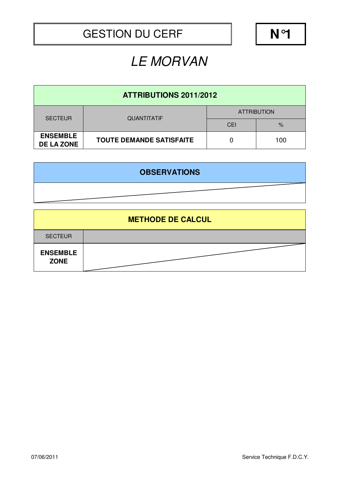| <b>ATTRIBUTIONS 2011/2012</b>        |                                 |                    |      |  |  |  |  |
|--------------------------------------|---------------------------------|--------------------|------|--|--|--|--|
| <b>SECTEUR</b>                       | <b>QUANTITATIF</b>              | <b>ATTRIBUTION</b> |      |  |  |  |  |
|                                      |                                 | <b>CEI</b>         | $\%$ |  |  |  |  |
| <b>ENSEMBLE</b><br><b>DE LA ZONE</b> | <b>TOUTE DEMANDE SATISFAITE</b> |                    | 100  |  |  |  |  |

| <b>OBSERVATIONS</b> |  |
|---------------------|--|
|                     |  |

| <b>METHODE DE CALCUL</b>       |  |  |  |  |  |  |
|--------------------------------|--|--|--|--|--|--|
| <b>SECTEUR</b>                 |  |  |  |  |  |  |
| <b>ENSEMBLE</b><br><b>ZONE</b> |  |  |  |  |  |  |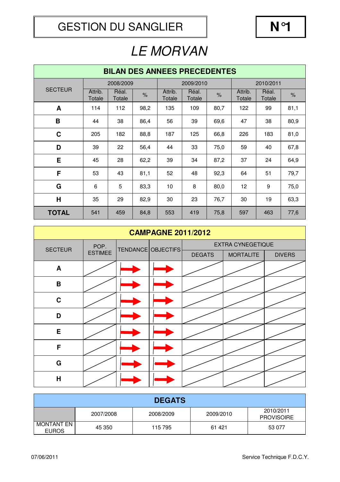| <b>BILAN DES ANNEES PRECEDENTES</b> |                   |                 |               |                   |                 |               |                   |                 |      |
|-------------------------------------|-------------------|-----------------|---------------|-------------------|-----------------|---------------|-------------------|-----------------|------|
|                                     |                   | 2008/2009       |               |                   | 2009/2010       |               | 2010/2011         |                 |      |
| <b>SECTEUR</b>                      | Attrib.<br>Totale | Réal.<br>Totale | $\frac{9}{6}$ | Attrib.<br>Totale | Réal.<br>Totale | $\frac{9}{6}$ | Attrib.<br>Totale | Réal.<br>Totale | $\%$ |
| A                                   | 114               | 112             | 98,2          | 135               | 109             | 80,7          | 122               | 99              | 81,1 |
| B                                   | 44                | 38              | 86,4          | 56                | 39              | 69,6          | 47                | 38              | 80,9 |
| $\mathbf C$                         | 205               | 182             | 88,8          | 187               | 125             | 66,8          | 226               | 183             | 81,0 |
| D                                   | 39                | 22              | 56,4          | 44                | 33              | 75,0          | 59                | 40              | 67,8 |
| E                                   | 45                | 28              | 62,2          | 39                | 34              | 87,2          | 37                | 24              | 64,9 |
| F                                   | 53                | 43              | 81,1          | 52                | 48              | 92,3          | 64                | 51              | 79,7 |
| G                                   | 6                 | 5               | 83,3          | 10                | 8               | 80,0          | 12                | 9               | 75,0 |
| H                                   | 35                | 29              | 82,9          | 30                | 23              | 76,7          | 30                | 19              | 63,3 |
| <b>TOTAL</b>                        | 541               | 459             | 84,8          | 553               | 419             | 75,8          | 597               | 463             | 77,6 |

| <b>CAMPAGNE 2011/2012</b> |                        |  |                    |                          |                  |               |  |
|---------------------------|------------------------|--|--------------------|--------------------------|------------------|---------------|--|
| <b>SECTEUR</b>            | POP.<br><b>ESTIMEE</b> |  | TENDANCE OBJECTIFS | <b>EXTRA CYNEGETIQUE</b> |                  |               |  |
|                           |                        |  |                    | <b>DEGATS</b>            | <b>MORTALITE</b> | <b>DIVERS</b> |  |
| A                         |                        |  |                    |                          |                  |               |  |
| $\, {\bf B}$              |                        |  |                    |                          |                  |               |  |
| $\mathbf C$               |                        |  |                    |                          |                  |               |  |
| D                         |                        |  |                    |                          |                  |               |  |
| E                         |                        |  |                    |                          |                  |               |  |
| F                         |                        |  |                    |                          |                  |               |  |
| G                         |                        |  |                    |                          |                  |               |  |
| H                         |                        |  |                    |                          |                  |               |  |

| <b>DEGATS</b>              |           |           |           |                                |  |  |
|----------------------------|-----------|-----------|-----------|--------------------------------|--|--|
|                            | 2007/2008 | 2008/2009 | 2009/2010 | 2010/2011<br><b>PROVISOIRE</b> |  |  |
| MONTANT EN<br><b>EUROS</b> | 45 350    | 115 795   | 61 421    | 53 0 77                        |  |  |